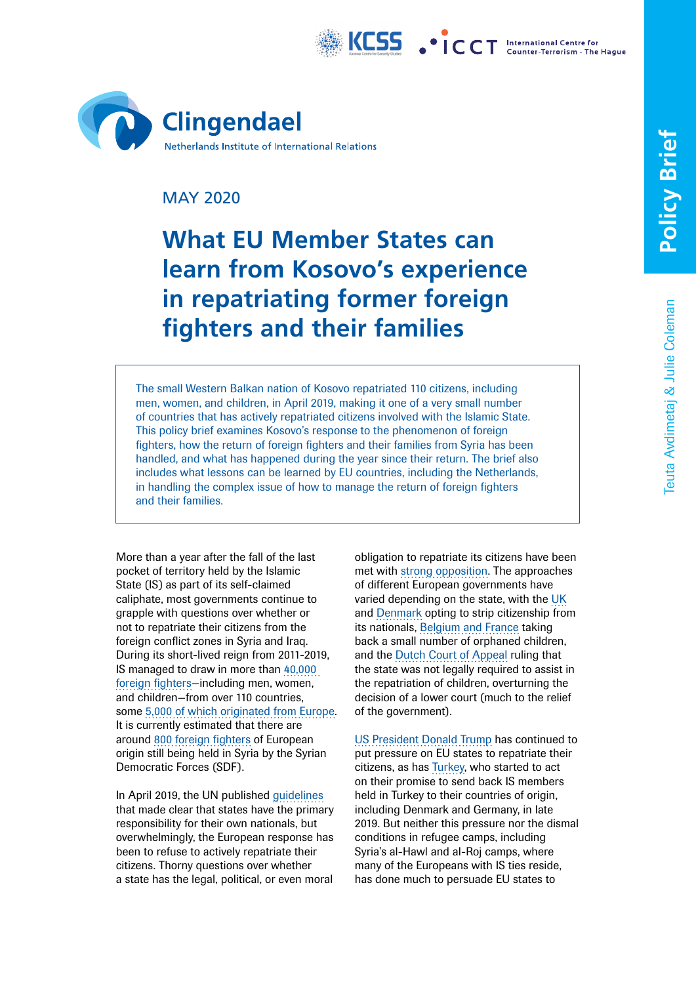



# MAY 2020

# **What EU Member States can learn from Kosovo's experience in repatriating former foreign fighters and their families**

The small Western Balkan nation of Kosovo repatriated 110 citizens, including men, women, and children, in April 2019, making it one of a very small number of countries that has actively repatriated citizens involved with the Islamic State. This policy brief examines Kosovo's response to the phenomenon of foreign fighters, how the return of foreign fighters and their families from Syria has been handled, and what has happened during the year since their return. The brief also includes what lessons can be learned by EU countries, including the Netherlands, in handling the complex issue of how to manage the return of foreign fighters and their families.

More than a year after the fall of the last pocket of territory held by the Islamic State (IS) as part of its self-claimed caliphate, most governments continue to grapple with questions over whether or not to repatriate their citizens from the foreign conflict zones in Syria and Iraq. During its short-lived reign from 2011-2019, IS managed to draw in more than [40,000](https://www.un.org/press/en/2017/sc13097.doc.htm)  [foreign fighters—](https://www.un.org/press/en/2017/sc13097.doc.htm)including men, women, and children—from over 110 countries, some [5,000 of which originated from Europe](https://www.europol.europa.eu/activities-services/main-reports/european-union-terrorism-situation-and-trend-report-te-sat-2016). It is currently estimated that there are around [800 foreign fighters](https://media.defense.gov/2019/Aug/06/2002167167/-1/-1/1/Q3FY2019_LEADIG_OIR_REPORT.PDF) of European origin still being held in Syria by the Syrian Democratic Forces (SDF).

In April 2019, the UN published [guidelines](https://www.un.org/counterterrorism/sites/www.un.org.counterterrorism/files/key_principles-april_2019.pdf) that made clear that states have the primary responsibility for their own nationals, but overwhelmingly, the European response has been to refuse to actively repatriate their citizens. Thorny questions over whether a state has the legal, political, or even moral

obligation to repatriate its citizens have been met with [strong opposition](https://foreignpolicy.com/2019/09/15/they-left-to-join-isis-now-europe-is-leaving-their-citizens-to-die-in-iraq/). The approaches of different European governments have varied depending on the state, with the [UK](https://www.independent.co.uk/news/uk/home-news/shamima-begum-uk-citizenship-stripped-home-office-sajid-javid-a8788301.html) and [Denmark](https://www.aljazeera.com/news/2019/10/denmark-passes-legislation-strip-isil-fighters-citizenship-191024174102359.html) opting to strip citizenship from its nationals, [Belgium and France](https://www.nytimes.com/2019/08/15/world/europe/isis-children-belgium.html) taking back a small number of orphaned children, and the [Dutch Court of Appeal](https://uitspraken.rechtspraak.nl/inziendocument?id=ECLI:NL:GHDHA:2019:3208) ruling that the state was not legally required to assist in the repatriation of children, overturning the decision of a lower court (much to the relief of the government).

[US President Donald Trump](https://www.wsj.com/articles/trump-vs-macron-on-isis-fighters-11575590830) has continued to put pressure on EU states to repatriate their citizens, as has [Turkey](https://www.nytimes.com/2019/11/17/world/europe/turkey-isis-fighters-europe.html), who started to act on their promise to send back IS members held in Turkey to their countries of origin, including Denmark and Germany, in late 2019. But neither this pressure nor the dismal conditions in refugee camps, including Syria's al-Hawl and al-Roj camps, where many of the Europeans with IS ties reside, has done much to persuade EU states to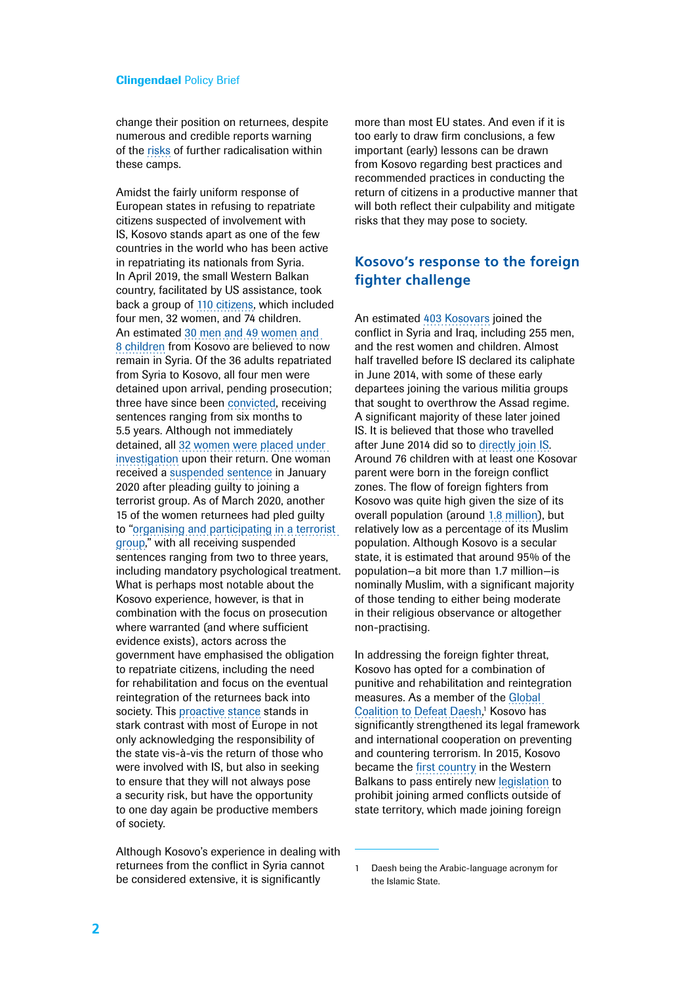change their position on returnees, despite numerous and credible reports warning of the [risks](https://www.washingtoninstitute.org/uploads/Documents/pubs/PolicyNote70-Zelin.pdf) of further radicalisation within these camps.

Amidst the fairly uniform response of European states in refusing to repatriate citizens suspected of involvement with IS, Kosovo stands apart as one of the few countries in the world who has been active in repatriating its nationals from Syria. In April 2019, the small Western Balkan country, facilitated by US assistance, took back a group of [110 citizens,](https://md.rks-gov.net/page.aspx?id=2,15,2000) which included four men, 32 women, and 74 children. An estimated [30 men and 49](https://www.rferl.org/a/kosovo-relatives-is-fighters-return-from-syria/29892911.html) women and 8 [children](https://www.rferl.org/a/kosovo-relatives-is-fighters-return-from-syria/29892911.html) from Kosovo are believed to now remain in Syria. Of the 36 adults repatriated from Syria to Kosovo, all four men were detained upon arrival, pending prosecution; three have since been [convicted,](https://unmik.unmissions.org/sites/default/files/s-2020-255.pdf) receiving sentences ranging from six months to 5.5 years. Although not immediately detained, all [32 women were placed under](https://balkaninsight.com/2019/04/24/kosovo-detains-more-returnees-from-syrian-battlefields/)  [investigation](https://balkaninsight.com/2019/04/24/kosovo-detains-more-returnees-from-syrian-battlefields/) upon their return. One woman received a [suspended sentence](https://balkaninsight.com/2020/01/09/another-repatriated-kosovar-pleads-guilty-to-belonging-to-isis/) in January 2020 after pleading guilty to joining a terrorist group. As of March 2020, another 15 of the women returnees had pled guilty to "[organising and participating in a](https://unmik.unmissions.org/sites/default/files/s-2020-255.pdf) terrorist [group](https://unmik.unmissions.org/sites/default/files/s-2020-255.pdf)," with all receiving suspended sentences ranging from two to three years. including mandatory psychological treatment. What is perhaps most notable about the Kosovo experience, however, is that in combination with the focus on prosecution where warranted (and where sufficient evidence exists), actors across the government have emphasised the obligation to repatriate citizens, including the need for rehabilitation and focus on the eventual reintegration of the returnees back into society. This [proactive stance](https://ec.europa.eu/home-affairs/sites/homeaffairs/files/what-we-do/networks/radicalisation_awareness_network/ran-papers/docs/ran_study_visit_kosovo_11_10122019_en.pdf) stands in stark contrast with most of Europe in not only acknowledging the responsibility of the state vis-à-vis the return of those who were involved with IS, but also in seeking to ensure that they will not always pose a security risk, but have the opportunity to one day again be productive members of society.

Although Kosovo's experience in dealing with returnees from the conflict in Syria cannot be considered extensive, it is significantly

more than most EU states. And even if it is too early to draw firm conclusions, a few important (early) lessons can be drawn from Kosovo regarding best practices and recommended practices in conducting the return of citizens in a productive manner that will both reflect their culpability and mitigate risks that they may pose to society.

## **Kosovo's response to the foreign fighter challenge**

An estimated [403 Kosovars](http://www.qkss.org/repository/docs/violent-extremism-eng_978757.pdf) joined the conflict in Syria and Iraq, including 255 men, and the rest women and children. Almost half travelled before IS declared its caliphate in June 2014, with some of these early departees joining the various militia groups that sought to overthrow the Assad regime. A significant majority of these later joined IS. It is believed that those who travelled after June 2014 did so to [directly join IS.](https://ctc.usma.edu/returnee-foreign-fighters-syria-iraq-kosovan-experience/) Around 76 children with at least one Kosovar parent were born in the foreign conflict zones. The flow of foreign fighters from Kosovo was quite high given the size of its overall population (around [1.8 million\)](https://ask.rks-gov.net/media/3485/estimation-kosovo-publication-2016.pdf), but relatively low as a percentage of its Muslim population. Although Kosovo is a secular state, it is estimated that around 95% of the population—a bit more than 1.7 million—is nominally Muslim, with a significant majority of those tending to either being moderate in their religious observance or altogether non-practising.

In addressing the foreign fighter threat. Kosovo has opted for a combination of punitive and rehabilitation and reintegration measures. As a member of the [Global](https://theglobalcoalition.org/en/partners/)  [Coalition to Defeat Daesh](https://theglobalcoalition.org/en/partners/), 1 Kosovo has significantly strengthened its legal framework and international cooperation on preventing and countering terrorism. In 2015, Kosovo became the [first country](https://www.iss.europa.eu/sites/default/files/EUISSFiles/Brief 20 Balkan foreign fighters.pdf) in the Western Balkans to pass entirely new [legislation](https://wb-iisg.com/wp-content/uploads/bp-attachments/6114/Law-on-Prohibition-of-Joining-the-armed-conflicts-outside-state-terriroty.pdf) to prohibit joining armed conflicts outside of state territory, which made joining foreign

<sup>1</sup> Daesh being the Arabic-language acronym for the Islamic State.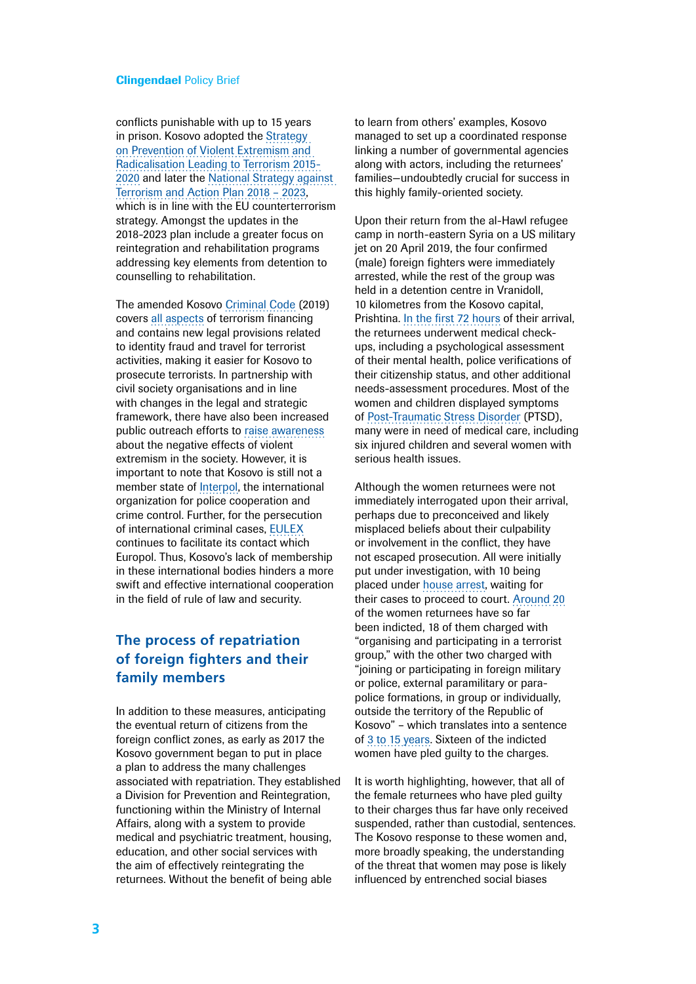conflicts punishable with up to 15 years in prison. Kosovo adopted the [Strategy](http://www.kryeministri-ks.net/repository/docs/STRATEGY_parandalim_-_ENG.pdf)  [on Prevention of Violent Extremism and](http://www.kryeministri-ks.net/repository/docs/STRATEGY_parandalim_-_ENG.pdf)  [Radicalisation Leading to Terrorism 2015-](http://www.kryeministri-ks.net/repository/docs/STRATEGY_parandalim_-_ENG.pdf) [2020](http://www.kryeministri-ks.net/repository/docs/STRATEGY_parandalim_-_ENG.pdf) and later the [National Strategy against](https://kryeministri-ks.net/en/documents/national-strategy-against-terrorism-and-action-plan-2018-2023/)  [Terrorism and Action Plan 2018 – 2023,](https://kryeministri-ks.net/en/documents/national-strategy-against-terrorism-and-action-plan-2018-2023/) which is in line with the EU counterterrorism strategy. Amongst the updates in the 2018-2023 plan include a greater focus on reintegration and rehabilitation programs addressing key elements from detention to counselling to rehabilitation.

The amended Kosovo [Criminal Code](https://md.rks-gov.net/desk/inc/media/A5713395-507E-4538-BED6-2FA2510F3FCD.pdf) (2019) covers [all aspects](https://www.state.gov/reports/country-reports-on-terrorism-2018/#Kosovo) of terrorism financing and contains new legal provisions related to identity fraud and travel for terrorist activities, making it easier for Kosovo to prosecute terrorists. In partnership with civil society organisations and in line with changes in the legal and strategic framework, there have also been increased public outreach efforts to [raise awareness](http://www.qkss.org/en/Current-projects/Citizens-Engagement-in-Preventing-Violent-Extremism-in-Kosovo-736) about the negative effects of violent extremism in the society. However, it is important to note that Kosovo is still not a member state of [Interpol,](https://www.interpol.int/en) the international organization for police cooperation and crime control. Further, for the persecution of international criminal cases, [EULEX](https://www.eulex-kosovo.eu/) continues to facilitate its contact which Europol. Thus, Kosovo's lack of membership in these international bodies hinders a more swift and effective international cooperation in the field of rule of law and security.

## **The process of repatriation of foreign fighters and their family members**

In addition to these measures, anticipating the eventual return of citizens from the foreign conflict zones, as early as 2017 the Kosovo government began to put in place a plan to address the many challenges associated with repatriation. They established a Division for Prevention and Reintegration, functioning within the Ministry of Internal Affairs, along with a system to provide medical and psychiatric treatment, housing, education, and other social services with the aim of effectively reintegrating the returnees. Without the benefit of being able

to learn from others' examples, Kosovo managed to set up a coordinated response linking a number of governmental agencies along with actors, including the returnees' families—undoubtedly crucial for success in this highly family-oriented society.

Upon their return from the al-Hawl refugee camp in north-eastern Syria on a US military jet on 20 April 2019, the four confirmed (male) foreign fighters were immediately arrested, while the rest of the group was held in a detention centre in Vranidoll, 10 kilometres from the Kosovo capital, Prishtina. [In the first 72 hours](http://www.qkss.org/repository/docs/violent-extremism-eng_978757.pdf) of their arrival, the returnees underwent medical checkups, including a psychological assessment of their mental health, police verifications of their citizenship status, and other additional needs-assessment procedures. Most of the women and children displayed symptoms of [Post-Traumatic Stress Disorder](https://www.aljazeera.com/indepth/features/kosovo-reintegrate-isil-returnees-work-190608200858002.html) (PTSD), many were in need of medical care, including six injured children and several women with serious health issues.

Although the women returnees were not immediately interrogated upon their arrival, perhaps due to preconceived and likely misplaced beliefs about their culpability or involvement in the conflict, they have not escaped prosecution. All were initially put under investigation, with 10 being placed under [house arrest](https://www.reuters.com/article/us-kosovo-syria-court/ten-kosovo-women-under-house-arrest-after-returning-from-syria-idUSKCN1RZ29S), waiting for their cases to proceed to court. [Around](https://www.voanews.com/extremism-watch/why-kosovo-taking-home-islamic-state-members) 20 of the women returnees have so far been indicted, 18 of them charged with "organising and participating in a terrorist group," with the other two charged with "joining or participating in foreign military or police, external paramilitary or parapolice formations, in group or individually, outside the territory of the Republic of Kosovo" – which translates into a sentence of 3 to 15 [years.](https://wb-iisg.com/wp-content/uploads/bp-attachments/6114/Law-on-Prohibition-of-Joining-the-armed-conflicts-outside-state-terriroty.pdf) Sixteen of the indicted women have pled guilty to the charges.

It is worth highlighting, however, that all of the female returnees who have pled guilty to their charges thus far have only received suspended, rather than custodial, sentences. The Kosovo response to these women and, more broadly speaking, the understanding of the threat that women may pose is likely influenced by entrenched social biases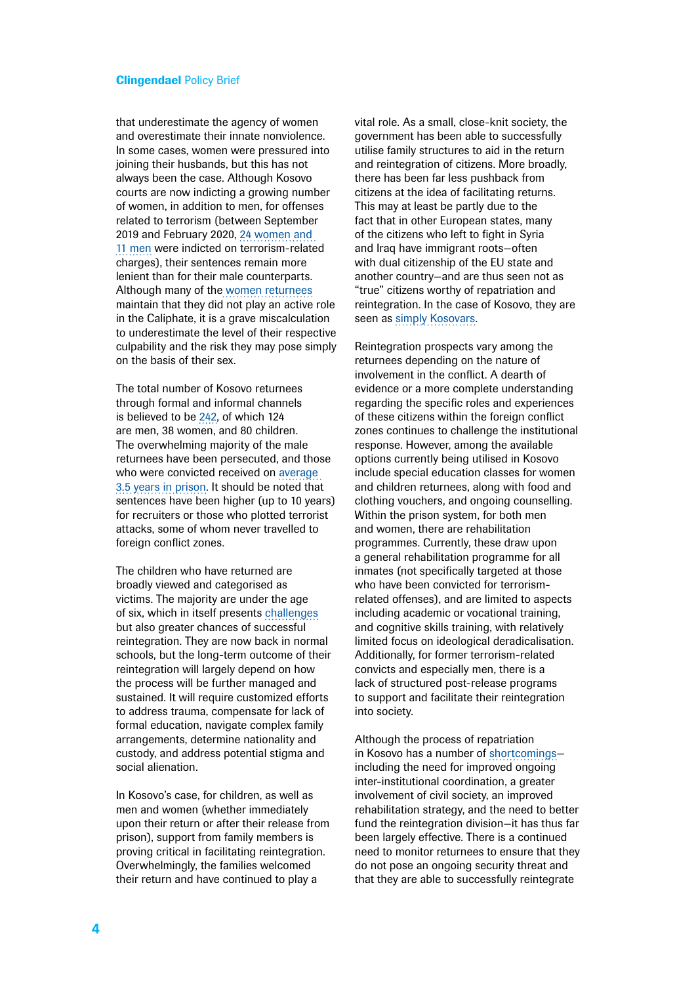that underestimate the agency of women and overestimate their innate nonviolence. In some cases, women were pressured into joining their husbands, but this has not always been the case. Although Kosovo courts are now indicting a growing number of women, in addition to men, for offenses related to terrorism (between September 2019 and February 2020, [24 women and](https://unmik.unmissions.org/sites/default/files/s-2020-255.pdf)  [11 men](https://unmik.unmissions.org/sites/default/files/s-2020-255.pdf) were indicted on terrorism-related charges), their sentences remain more lenient than for their male counterparts. Although many of the [women returnees](https://www.dw.com/en/islamic-state-returnees-in-kosovo-guided-back-into-society/a-50668479) maintain that they did not play an active role in the Caliphate, it is a grave miscalculation to underestimate the level of their respective culpability and the risk they may pose simply on the basis of their sex.

The total number of Kosovo returnees through formal and informal channels is believed to be [242](https://ctc.usma.edu/returnee-foreign-fighters-syria-iraq-kosovan-experience/), of which 124 are men, 38 women, and 80 children. The overwhelming majority of the male returnees have been persecuted, and those who were convicted received on [average](https://ctc.usma.edu/returnee-foreign-fighters-syria-iraq-kosovan-experience/)  [3.5 years in prison](https://ctc.usma.edu/returnee-foreign-fighters-syria-iraq-kosovan-experience/). It should be noted that sentences have been higher (up to 10 years) for recruiters or those who plotted terrorist attacks, some of whom never travelled to foreign conflict zones.

The children who have returned are broadly viewed and categorised as victims. The majority are under the age of six, which in itself presents [challenges](https://icct.nl/wp-content/uploads/2017/08/ICCT-vanderHeide-Geenen-Children-of-the-Caliphate-2.pdf) but also greater chances of successful reintegration. They are now back in normal schools, but the long-term outcome of their reintegration will largely depend on how the process will be further managed and sustained. It will require customized efforts to address trauma, compensate for lack of formal education, navigate complex family arrangements, determine nationality and custody, and address potential stigma and social alienation.

In Kosovo's case, for children, as well as men and women (whether immediately upon their return or after their release from prison), support from family members is proving critical in facilitating reintegration. Overwhelmingly, the families welcomed their return and have continued to play a

vital role. As a small, close-knit society, the government has been able to successfully utilise family structures to aid in the return and reintegration of citizens. More broadly, there has been far less pushback from citizens at the idea of facilitating returns. This may at least be partly due to the fact that in other European states, many of the citizens who left to fight in Syria and Iraq have immigrant roots—often with dual citizenship of the EU state and another country—and are thus seen not as "true" citizens worthy of repatriation and reintegration. In the case of Kosovo, they are seen as [simply Kosovars.](https://www.infomigrants.net/en/post/19936/islamic-state-returnees-in-kosovo-guided-back-into-society)

Reintegration prospects vary among the returnees depending on the nature of involvement in the conflict. A dearth of evidence or a more complete understanding regarding the specific roles and experiences of these citizens within the foreign conflict zones continues to challenge the institutional response. However, among the available options currently being utilised in Kosovo include special education classes for women and children returnees, along with food and clothing vouchers, and ongoing counselling. Within the prison system, for both men and women, there are rehabilitation programmes. Currently, these draw upon a general rehabilitation programme for all inmates (not specifically targeted at those who have been convicted for terrorismrelated offenses), and are limited to aspects including academic or vocational training, and cognitive skills training, with relatively limited focus on ideological deradicalisation. Additionally, for former terrorism-related convicts and especially men, there is a lack of structured post-release programs to support and facilitate their reintegration into society.

Although the process of repatriation in Kosovo has a number of [shortcomings](http://www.qkss.org/en/Reports/Unpacking-Kosovo) including the need for improved ongoing inter-institutional coordination, a greater involvement of civil society, an improved rehabilitation strategy, and the need to better fund the reintegration division—it has thus far been largely effective. There is a continued need to monitor returnees to ensure that they do not pose an ongoing security threat and that they are able to successfully reintegrate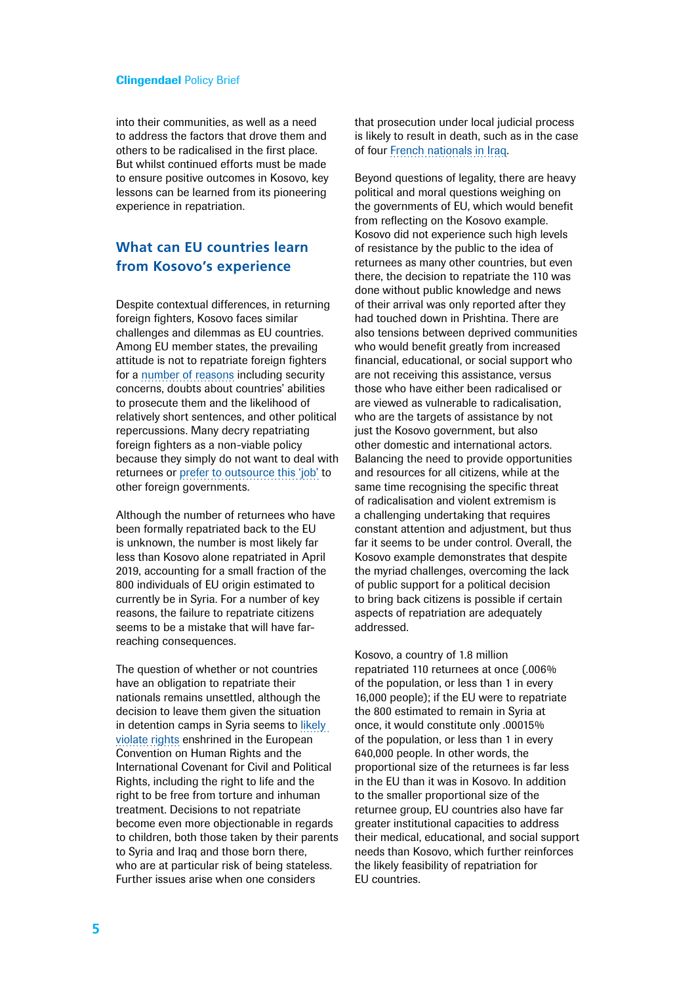into their communities, as well as a need to address the factors that drove them and others to be radicalised in the first place. But whilst continued efforts must be made to ensure positive outcomes in Kosovo, key lessons can be learned from its pioneering experience in repatriation.

## **What can EU countries learn from Kosovo's experience**

Despite contextual differences, in returning foreign fighters, Kosovo faces similar challenges and dilemmas as EU countries. Among EU member states, the prevailing attitude is not to repatriate foreign fighters for a [number of reasons](https://www.clingendael.org/publication/debate-around-returning-foreign-fighters-netherlands) including security concerns, doubts about countries' abilities to prosecute them and the likelihood of relatively short sentences, and other political repercussions. Many decry repatriating foreign fighters as a non-viable policy because they simply do not want to deal with returnees or [prefer to outsource this 'job'](https://www.asser.nl/about-the-institute/asser-today/blog-post-outsourcing-the-management-of-terrorism-suspects-to-other-countries/) to other foreign governments.

Although the number of returnees who have been formally repatriated back to the EU is unknown, the number is most likely far less than Kosovo alone repatriated in April 2019, accounting for a small fraction of the 800 individuals of EU origin estimated to currently be in Syria. For a number of key reasons, the failure to repatriate citizens seems to be a mistake that will have farreaching consequences.

The question of whether or not countries have an obligation to repatriate their nationals remains unsettled, although the decision to leave them given the situation in detention camps in Syria seems to [likely](https://icct.nl/publication/european-countries-are-being-challenged-in-court-to-repatriate-their-foreign-fighters-and-families/)  [violate rights](https://icct.nl/publication/european-countries-are-being-challenged-in-court-to-repatriate-their-foreign-fighters-and-families/) enshrined in the European Convention on Human Rights and the International Covenant for Civil and Political Rights, including the right to life and the right to be free from torture and inhuman treatment. Decisions to not repatriate become even more objectionable in regards to children, both those taken by their parents to Syria and Iraq and those born there, who are at particular risk of being stateless. Further issues arise when one considers

that prosecution under local judicial process is likely to result in death, such as in the case of four [French nationals in Iraq.](https://www.bbc.com/news/world-middle-east-48414670)

Beyond questions of legality, there are heavy political and moral questions weighing on the governments of EU, which would benefit from reflecting on the Kosovo example. Kosovo did not experience such high levels of resistance by the public to the idea of returnees as many other countries, but even there, the decision to repatriate the 110 was done without public knowledge and news of their arrival was only reported after they had touched down in Prishtina. There are also tensions between deprived communities who would benefit greatly from increased financial, educational, or social support who are not receiving this assistance, versus those who have either been radicalised or are viewed as vulnerable to radicalisation, who are the targets of assistance by not just the Kosovo government, but also other domestic and international actors. Balancing the need to provide opportunities and resources for all citizens, while at the same time recognising the specific threat of radicalisation and violent extremism is a challenging undertaking that requires constant attention and adjustment, but thus far it seems to be under control. Overall, the Kosovo example demonstrates that despite the myriad challenges, overcoming the lack of public support for a political decision to bring back citizens is possible if certain aspects of repatriation are adequately addressed.

Kosovo, a country of 1.8 million repatriated 110 returnees at once (.006% of the population, or less than 1 in every 16,000 people); if the EU were to repatriate the 800 estimated to remain in Syria at once, it would constitute only .00015% of the population, or less than 1 in every 640,000 people. In other words, the proportional size of the returnees is far less in the EU than it was in Kosovo. In addition to the smaller proportional size of the returnee group, EU countries also have far greater institutional capacities to address their medical, educational, and social support needs than Kosovo, which further reinforces the likely feasibility of repatriation for EU countries.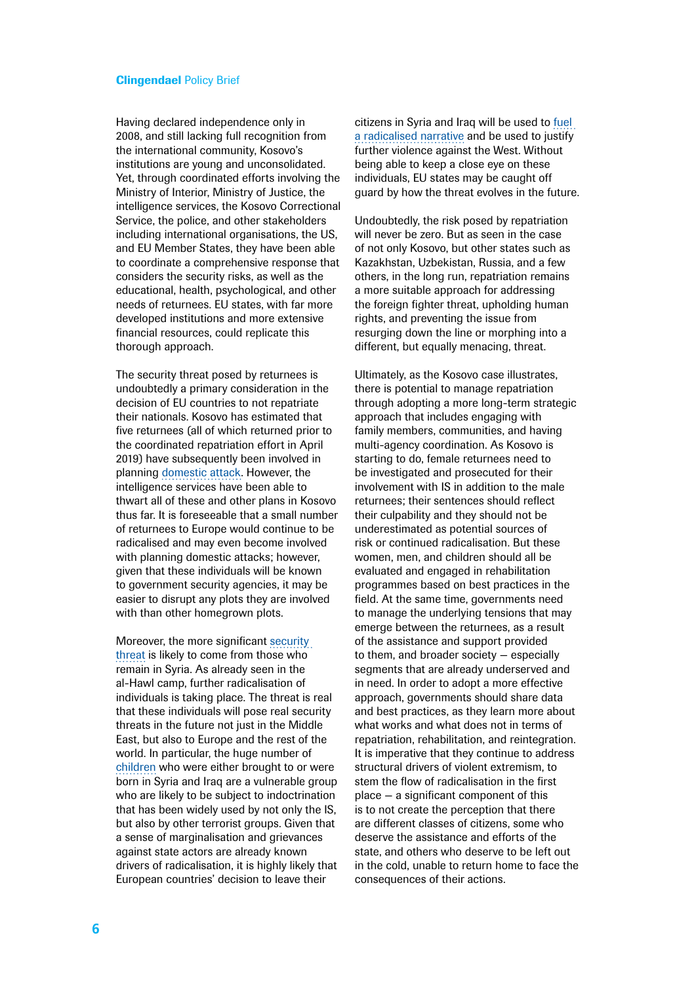Having declared independence only in 2008, and still lacking full recognition from the international community, Kosovo's institutions are young and unconsolidated. Yet, through coordinated efforts involving the Ministry of Interior, Ministry of Justice, the intelligence services, the Kosovo Correctional Service, the police, and other stakeholders including international organisations, the US, and EU Member States, they have been able to coordinate a comprehensive response that considers the security risks, as well as the educational, health, psychological, and other needs of returnees. EU states, with far more developed institutions and more extensive financial resources, could replicate this thorough approach.

The security threat posed by returnees is undoubtedly a primary consideration in the decision of EU countries to not repatriate their nationals. Kosovo has estimated that five returnees (all of which returned prior to the coordinated repatriation effort in April 2019) have subsequently been involved in planning [domestic attack](https://ctc.usma.edu/returnee-foreign-fighters-syria-iraq-kosovan-experience/). However, the intelligence services have been able to thwart all of these and other plans in Kosovo thus far. It is foreseeable that a small number of returnees to Europe would continue to be radicalised and may even become involved with planning domestic attacks; however, given that these individuals will be known to government security agencies, it may be easier to disrupt any plots they are involved with than other homegrown plots.

Moreover, the more significant [security](https://balkaninsight.com/2019/10/16/kosovo-isis-women-and-children-escape-syria-camps/)  [threat](https://balkaninsight.com/2019/10/16/kosovo-isis-women-and-children-escape-syria-camps/) is likely to come from those who remain in Syria. As already seen in the al-Hawl camp, further radicalisation of individuals is taking place. The threat is real that these individuals will pose real security threats in the future not just in the Middle East, but also to Europe and the rest of the world. In particular, the huge number of [children](https://www.washingtoninstitute.org/fikraforum/view/al-hawl-camp-a-potential-incubator-of-the-next-generation-of-extremism) who were either brought to or were born in Syria and Iraq are a vulnerable group who are likely to be subject to indoctrination that has been widely used by not only the IS, but also by other terrorist groups. Given that a sense of marginalisation and grievances against state actors are already known drivers of radicalisation, it is highly likely that European countries' decision to leave their

citizens in Syria and Iraq will be used to [fuel](https://icct.nl/wp-content/uploads/2019/10/Women-in-Islamic-State-From-Caliphate-to-Camps.pdf)  [a radicalised narrative](https://icct.nl/wp-content/uploads/2019/10/Women-in-Islamic-State-From-Caliphate-to-Camps.pdf) and be used to justify further violence against the West. Without being able to keep a close eye on these individuals, EU states may be caught off guard by how the threat evolves in the future.

Undoubtedly, the risk posed by repatriation will never be zero. But as seen in the case of not only Kosovo, but other states such as Kazakhstan, Uzbekistan, Russia, and a few others, in the long run, repatriation remains a more suitable approach for addressing the foreign fighter threat, upholding human rights, and preventing the issue from resurging down the line or morphing into a different, but equally menacing, threat.

Ultimately, as the Kosovo case illustrates, there is potential to manage repatriation through adopting a more long-term strategic approach that includes engaging with family members, communities, and having multi-agency coordination. As Kosovo is starting to do, female returnees need to be investigated and prosecuted for their involvement with IS in addition to the male returnees; their sentences should reflect their culpability and they should not be underestimated as potential sources of risk or continued radicalisation. But these women, men, and children should all be evaluated and engaged in rehabilitation programmes based on best practices in the field. At the same time, governments need to manage the underlying tensions that may emerge between the returnees, as a result of the assistance and support provided to them, and broader society — especially segments that are already underserved and in need. In order to adopt a more effective approach, governments should share data and best practices, as they learn more about what works and what does not in terms of repatriation, rehabilitation, and reintegration. It is imperative that they continue to address structural drivers of violent extremism, to stem the flow of radicalisation in the first place — a significant component of this is to not create the perception that there are different classes of citizens, some who deserve the assistance and efforts of the state, and others who deserve to be left out in the cold, unable to return home to face the consequences of their actions.